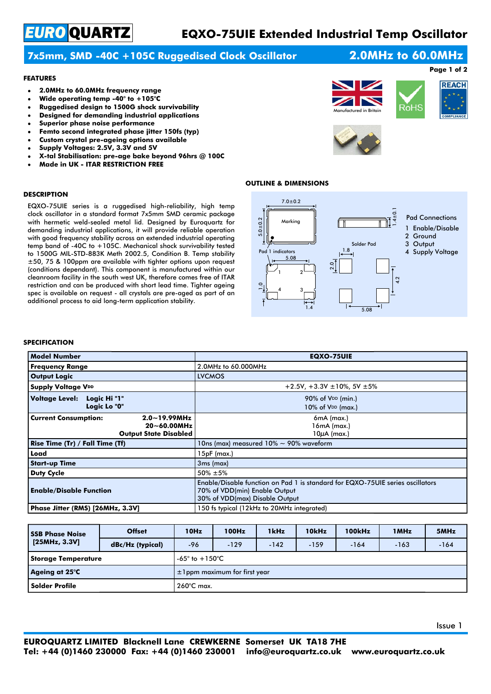# *EURO* QUARTZ

## **EQXO-75UIE Extended Industrial Temp Oscillator**

### **7x5mm, SMD -40C +105C Ruggedised Clock Oscillator**

## **2.0MHz to 60.0MHz Page 1 of 2**

#### **FEATURES**

- **2.0MHz to 60.0MHz frequency range**  $\bullet$
- **Wide operating temp -40° to +105°C**
- **Ruggedised design to 1500G shock survivability**
- **Designed for demanding industrial applications**
- **Superior phase noise performance**
- **Femto second integrated phase jitter 150fs (typ)**
- **Custom crystal pre-ageing options available**
- **Supply Voltages: 2.5V, 3.3V and 5V**
- **X-tal Stabilisation: pre-age bake beyond 96hrs @ 100C**
- **Made in UK ITAR RESTRICTION FREE**





#### **OUTLINE & DIMENSIONS**

#### **DESCRIPTION**

EQXO-75UIE series is a ruggedised high-reliability, high temp clock oscillator in a standard format 7x5mm SMD ceramic package with hermetic weld-sealed metal lid. Designed by Euroquartz for demanding industrial applications, it will provide reliable operation with good frequency stability across an extended industrial operating temp band of -40C to +105C. Mechanical shock survivability tested to 1500G MIL-STD-883K Meth 2002.5, Condition B. Temp stability ±50, 75 & 100ppm are available with tighter options upon request (conditions dependant). This component is manufactured within our cleanroom facility in the south west UK, therefore comes free of ITAR restriction and can be produced with short lead time. Tighter ageing spec is available on request - all crystals are pre-aged as part of an additional process to aid long-term application stability.



#### **SPECIFICATION**

| <b>Model Number</b>                                                                                  | <b>EQXO-75UIE</b>                                                                                                                                 |
|------------------------------------------------------------------------------------------------------|---------------------------------------------------------------------------------------------------------------------------------------------------|
| <b>Frequency Range</b>                                                                               | 2.0MHz to 60.000MHz                                                                                                                               |
| <b>Output Logic</b>                                                                                  | <b>LVCMOS</b>                                                                                                                                     |
| <b>Supply Voltage VDD</b>                                                                            | +2.5V, +3.3V $\pm$ 10%, 5V $\pm$ 5%                                                                                                               |
| Logic Hi "1"<br>Voltage Level:<br>Logic Lo "0"                                                       | 90% of V <sub>DD</sub> (min.)<br>10% of VDD (max.)                                                                                                |
| <b>Current Consumption:</b><br>$2.0 - 19.99$ MHz<br>$20 - 60.00$ MHz<br><b>Output State Disabled</b> | $6mA$ (max.)<br>16mA (max.)<br>$10\mu$ A (max.)                                                                                                   |
| Rise Time (Tr) / Fall Time (Tf)                                                                      | 10ns (max) measured $10\% \sim 90\%$ waveform                                                                                                     |
| Load                                                                                                 | $15pF$ (max.)                                                                                                                                     |
| <b>Start-up Time</b>                                                                                 | 3 <sub>ms</sub> (max)                                                                                                                             |
| <b>Duty Cycle</b>                                                                                    | $50\% \pm 5\%$                                                                                                                                    |
| <b>Enable/Disable Function</b>                                                                       | Enable/Disable function on Pad 1 is standard for EQXO-75UIE series oscillators<br>70% of VDD(min) Enable Output<br>30% of VDD(max) Disable Output |
| Phase Jitter (RMS) [26MHz, 3.3V]                                                                     | 150 fs typical (12kHz to 20MHz integrated)                                                                                                        |

| <b>SSB Phase Noise</b><br>[25MHz, 3.3V] | <b>Offset</b>        | 10Hz                               | <b>100Hz</b> | 1kHz   | 10kHz  | 100kHz | 1 MHz  | 5MHz   |
|-----------------------------------------|----------------------|------------------------------------|--------------|--------|--------|--------|--------|--------|
|                                         | dBc/Hz (typical)     | $-96$                              | $-129$       | $-142$ | $-159$ | $-164$ | $-163$ | $-164$ |
| Storage Temperature                     |                      | $-65^\circ$ to $+150^\circ$ C      |              |        |        |        |        |        |
| Ageing at 25°C                          |                      | $\pm$ 1 ppm maximum for first year |              |        |        |        |        |        |
| l Solder Profile                        | $260^{\circ}$ C max. |                                    |              |        |        |        |        |        |